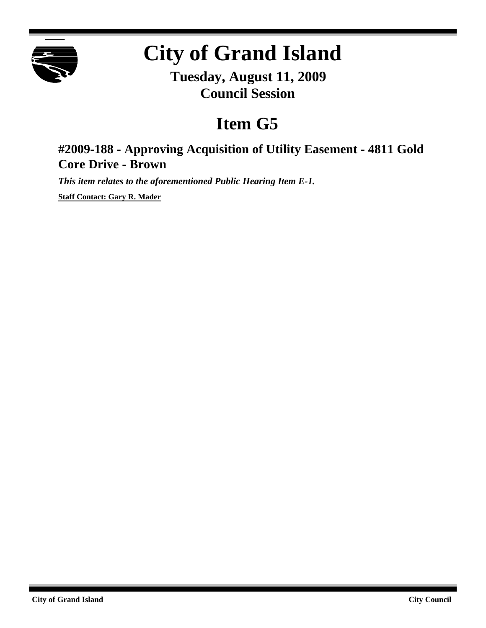

## **City of Grand Island**

**Tuesday, August 11, 2009 Council Session**

## **Item G5**

## **#2009-188 - Approving Acquisition of Utility Easement - 4811 Gold Core Drive - Brown**

*This item relates to the aforementioned Public Hearing Item E-1.*

**Staff Contact: Gary R. Mader**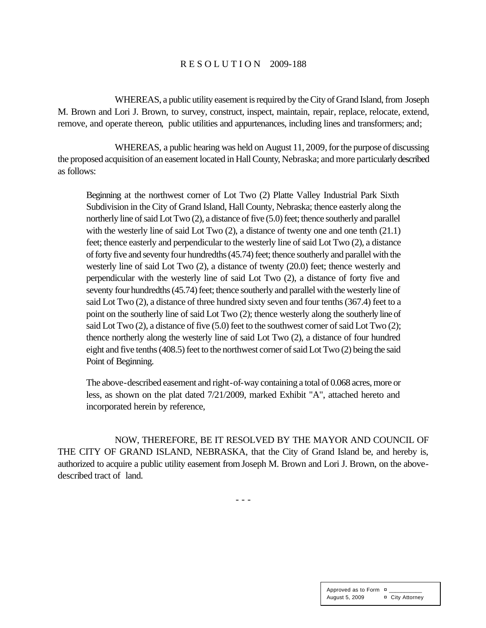## R E S O L U T I O N 2009-188

WHEREAS, a public utility easement is required by the City of Grand Island, from Joseph M. Brown and Lori J. Brown, to survey, construct, inspect, maintain, repair, replace, relocate, extend, remove, and operate thereon, public utilities and appurtenances, including lines and transformers; and;

WHEREAS, a public hearing was held on August 11, 2009, for the purpose of discussing the proposed acquisition of an easement located in Hall County, Nebraska; and more particularly described as follows:

Beginning at the northwest corner of Lot Two (2) Platte Valley Industrial Park Sixth Subdivision in the City of Grand Island, Hall County, Nebraska; thence easterly along the northerly line of said Lot Two (2), a distance of five (5.0) feet; thence southerly and parallel with the westerly line of said Lot Two  $(2)$ , a distance of twenty one and one tenth  $(21.1)$ feet; thence easterly and perpendicular to the westerly line of said Lot Two (2), a distance of forty five and seventy four hundredths (45.74) feet; thence southerly and parallel with the westerly line of said Lot Two (2), a distance of twenty (20.0) feet; thence westerly and perpendicular with the westerly line of said Lot Two (2), a distance of forty five and seventy four hundredths (45.74) feet; thence southerly and parallel with the westerly line of said Lot Two (2), a distance of three hundred sixty seven and four tenths (367.4) feet to a point on the southerly line of said Lot Two (2); thence westerly along the southerly line of said Lot Two (2), a distance of five (5.0) feet to the southwest corner of said Lot Two (2); thence northerly along the westerly line of said Lot Two (2), a distance of four hundred eight and five tenths (408.5) feet to the northwest corner of said Lot Two (2) being the said Point of Beginning.

The above-described easement and right-of-way containing a total of 0.068 acres, more or less, as shown on the plat dated 7/21/2009, marked Exhibit "A", attached hereto and incorporated herein by reference,

NOW, THEREFORE, BE IT RESOLVED BY THE MAYOR AND COUNCIL OF THE CITY OF GRAND ISLAND, NEBRASKA, that the City of Grand Island be, and hereby is, authorized to acquire a public utility easement fromJoseph M. Brown and Lori J. Brown, on the abovedescribed tract of land.

- - -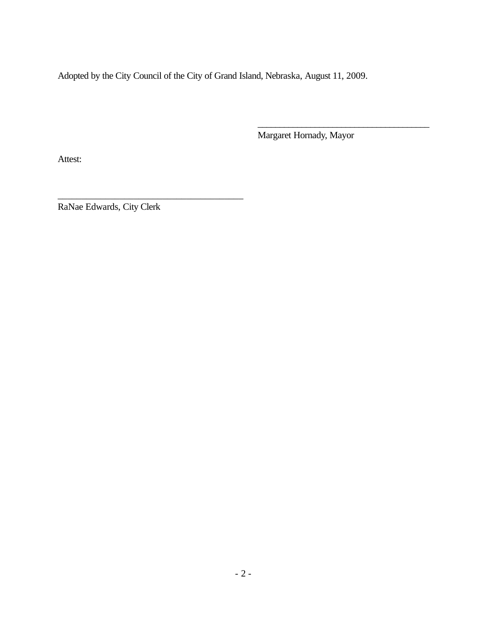Adopted by the City Council of the City of Grand Island, Nebraska, August 11, 2009.

Margaret Hornady, Mayor

\_\_\_\_\_\_\_\_\_\_\_\_\_\_\_\_\_\_\_\_\_\_\_\_\_\_\_\_\_\_\_\_\_\_\_\_\_\_\_

Attest:

RaNae Edwards, City Clerk

\_\_\_\_\_\_\_\_\_\_\_\_\_\_\_\_\_\_\_\_\_\_\_\_\_\_\_\_\_\_\_\_\_\_\_\_\_\_\_